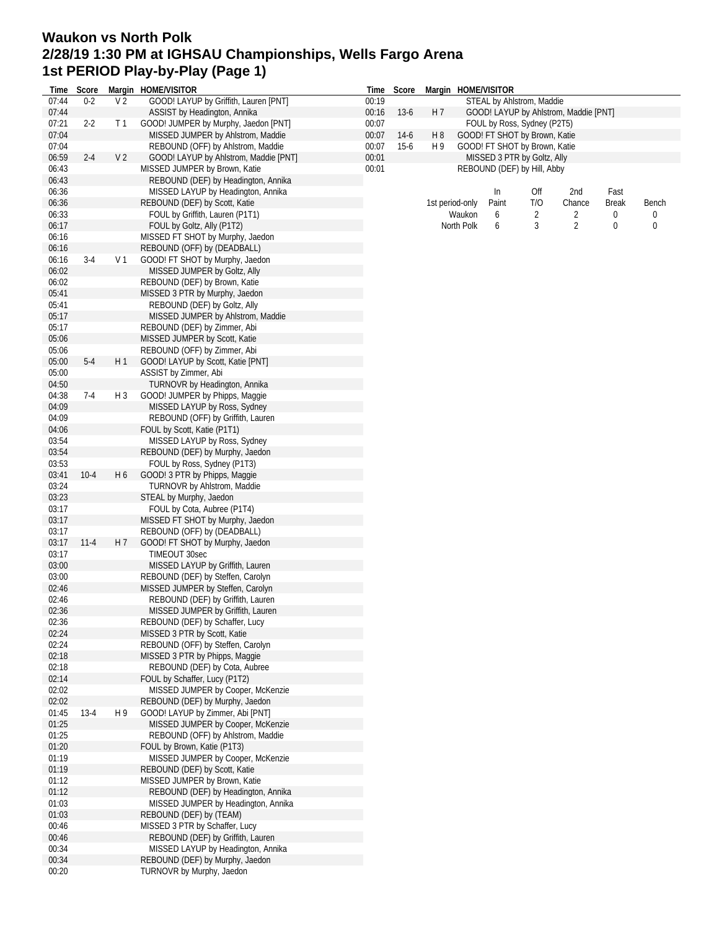## **Waukon vs North Polk 2/28/19 1:30 PM at IGHSAU Championships, Wells Fargo Arena 1st PERIOD Play-by-Play (Page 1)**

| Time           | Score    |                | Margin HOME/VISITOR                                            |       | Time Score |                             |                 | Margin HOME/VISITOR |                               |                                       |              |                  |
|----------------|----------|----------------|----------------------------------------------------------------|-------|------------|-----------------------------|-----------------|---------------------|-------------------------------|---------------------------------------|--------------|------------------|
| 07:44          | $0 - 2$  | V <sub>2</sub> | GOOD! LAYUP by Griffith, Lauren [PNT]                          | 00:19 |            | STEAL by Ahlstrom, Maddie   |                 |                     |                               |                                       |              |                  |
| 07:44          |          |                | ASSIST by Headington, Annika                                   | 00:16 | $13-6$     | H 7                         |                 |                     |                               | GOOD! LAYUP by Ahlstrom, Maddie [PNT] |              |                  |
| 07:21          | $2 - 2$  | T <sub>1</sub> | GOOD! JUMPER by Murphy, Jaedon [PNT]                           | 00:07 |            | FOUL by Ross, Sydney (P2T5) |                 |                     |                               |                                       |              |                  |
| 07:04          |          |                | MISSED JUMPER by Ahlstrom, Maddie                              | 00:07 | $14-6$     | H <sub>8</sub>              |                 |                     | GOOD! FT SHOT by Brown, Katie |                                       |              |                  |
| 07:04          |          |                | REBOUND (OFF) by Ahlstrom, Maddie                              | 00:07 | $15-6$     | H 9                         |                 |                     | GOOD! FT SHOT by Brown, Katie |                                       |              |                  |
| 06:59          | $2 - 4$  | V <sub>2</sub> | GOOD! LAYUP by Ahlstrom, Maddie [PNT]                          | 00:01 |            |                             |                 |                     | MISSED 3 PTR by Goltz, Ally   |                                       |              |                  |
| 06:43          |          |                | MISSED JUMPER by Brown, Katie                                  | 00:01 |            |                             |                 |                     | REBOUND (DEF) by Hill, Abby   |                                       |              |                  |
| 06:43          |          |                | REBOUND (DEF) by Headington, Annika                            |       |            |                             |                 |                     |                               |                                       |              |                  |
| 06:36          |          |                | MISSED LAYUP by Headington, Annika                             |       |            |                             |                 | In                  | Off                           | 2nd                                   | Fast         |                  |
| 06:36          |          |                | REBOUND (DEF) by Scott, Katie                                  |       |            |                             | 1st period-only | Paint               | T/O                           | Chance                                | <b>Break</b> | Bench            |
| 06:33          |          |                | FOUL by Griffith, Lauren (P1T1)                                |       |            |                             | Waukon          | 6                   | $\overline{2}$                | 2                                     | 0            |                  |
| 06:17          |          |                | FOUL by Goltz, Ally (P1T2)                                     |       |            |                             | North Polk      | 6                   | 3                             | $\overline{2}$                        | 0            | $\boldsymbol{0}$ |
| 06:16          |          |                | MISSED FT SHOT by Murphy, Jaedon                               |       |            |                             |                 |                     |                               |                                       |              |                  |
| 06:16          |          |                | REBOUND (OFF) by (DEADBALL)                                    |       |            |                             |                 |                     |                               |                                       |              |                  |
| 06:16          | $3-4$    | V <sub>1</sub> | GOOD! FT SHOT by Murphy, Jaedon                                |       |            |                             |                 |                     |                               |                                       |              |                  |
| 06:02          |          |                | MISSED JUMPER by Goltz, Ally                                   |       |            |                             |                 |                     |                               |                                       |              |                  |
| 06:02          |          |                | REBOUND (DEF) by Brown, Katie                                  |       |            |                             |                 |                     |                               |                                       |              |                  |
| 05:41          |          |                | MISSED 3 PTR by Murphy, Jaedon                                 |       |            |                             |                 |                     |                               |                                       |              |                  |
| 05:41          |          |                | REBOUND (DEF) by Goltz, Ally                                   |       |            |                             |                 |                     |                               |                                       |              |                  |
| 05:17          |          |                | MISSED JUMPER by Ahlstrom, Maddie                              |       |            |                             |                 |                     |                               |                                       |              |                  |
| 05:17          |          |                | REBOUND (DEF) by Zimmer, Abi                                   |       |            |                             |                 |                     |                               |                                       |              |                  |
| 05:06          |          |                | MISSED JUMPER by Scott, Katie                                  |       |            |                             |                 |                     |                               |                                       |              |                  |
| 05:06          |          | H1             | REBOUND (OFF) by Zimmer, Abi                                   |       |            |                             |                 |                     |                               |                                       |              |                  |
| 05:00<br>05:00 | $5-4$    |                | GOOD! LAYUP by Scott, Katie [PNT]                              |       |            |                             |                 |                     |                               |                                       |              |                  |
| 04:50          |          |                | ASSIST by Zimmer, Abi<br>TURNOVR by Headington, Annika         |       |            |                             |                 |                     |                               |                                       |              |                  |
| 04:38          | $7-4$    | H 3            |                                                                |       |            |                             |                 |                     |                               |                                       |              |                  |
| 04:09          |          |                | GOOD! JUMPER by Phipps, Maggie<br>MISSED LAYUP by Ross, Sydney |       |            |                             |                 |                     |                               |                                       |              |                  |
| 04:09          |          |                | REBOUND (OFF) by Griffith, Lauren                              |       |            |                             |                 |                     |                               |                                       |              |                  |
| 04:06          |          |                |                                                                |       |            |                             |                 |                     |                               |                                       |              |                  |
| 03:54          |          |                | FOUL by Scott, Katie (P1T1)<br>MISSED LAYUP by Ross, Sydney    |       |            |                             |                 |                     |                               |                                       |              |                  |
| 03:54          |          |                | REBOUND (DEF) by Murphy, Jaedon                                |       |            |                             |                 |                     |                               |                                       |              |                  |
| 03:53          |          |                | FOUL by Ross, Sydney (P1T3)                                    |       |            |                             |                 |                     |                               |                                       |              |                  |
| 03:41          | $10 - 4$ | H 6            | GOOD! 3 PTR by Phipps, Maggie                                  |       |            |                             |                 |                     |                               |                                       |              |                  |
| 03:24          |          |                | TURNOVR by Ahlstrom, Maddie                                    |       |            |                             |                 |                     |                               |                                       |              |                  |
| 03:23          |          |                | STEAL by Murphy, Jaedon                                        |       |            |                             |                 |                     |                               |                                       |              |                  |
| 03:17          |          |                | FOUL by Cota, Aubree (P1T4)                                    |       |            |                             |                 |                     |                               |                                       |              |                  |
| 03:17          |          |                | MISSED FT SHOT by Murphy, Jaedon                               |       |            |                             |                 |                     |                               |                                       |              |                  |
| 03:17          |          |                | REBOUND (OFF) by (DEADBALL)                                    |       |            |                             |                 |                     |                               |                                       |              |                  |
| 03:17          | $11 - 4$ | H 7            | GOOD! FT SHOT by Murphy, Jaedon                                |       |            |                             |                 |                     |                               |                                       |              |                  |
| 03:17          |          |                | TIMEOUT 30sec                                                  |       |            |                             |                 |                     |                               |                                       |              |                  |
| 03:00          |          |                | MISSED LAYUP by Griffith, Lauren                               |       |            |                             |                 |                     |                               |                                       |              |                  |
| 03:00          |          |                | REBOUND (DEF) by Steffen, Carolyn                              |       |            |                             |                 |                     |                               |                                       |              |                  |
| 02:46          |          |                | MISSED JUMPER by Steffen, Carolyn                              |       |            |                             |                 |                     |                               |                                       |              |                  |
| 02:46          |          |                | REBOUND (DEF) by Griffith, Lauren                              |       |            |                             |                 |                     |                               |                                       |              |                  |
| 02:36          |          |                | MISSED JUMPER by Griffith, Lauren                              |       |            |                             |                 |                     |                               |                                       |              |                  |
| 02:36          |          |                | REBOUND (DEF) by Schaffer, Lucy                                |       |            |                             |                 |                     |                               |                                       |              |                  |
| 02:24          |          |                | MISSED 3 PTR by Scott, Katie                                   |       |            |                             |                 |                     |                               |                                       |              |                  |
| 02:24          |          |                | REBOUND (OFF) by Steffen, Carolyn                              |       |            |                             |                 |                     |                               |                                       |              |                  |
| 02:18          |          |                | MISSED 3 PTR by Phipps, Maggie                                 |       |            |                             |                 |                     |                               |                                       |              |                  |
| 02:18          |          |                | REBOUND (DEF) by Cota, Aubree                                  |       |            |                             |                 |                     |                               |                                       |              |                  |
| 02:14          |          |                | FOUL by Schaffer, Lucy (P1T2)                                  |       |            |                             |                 |                     |                               |                                       |              |                  |
| 02:02          |          |                | MISSED JUMPER by Cooper, McKenzie                              |       |            |                             |                 |                     |                               |                                       |              |                  |
| 02:02          |          |                | REBOUND (DEF) by Murphy, Jaedon                                |       |            |                             |                 |                     |                               |                                       |              |                  |
| 01:45          | $13-4$   | H 9            | GOOD! LAYUP by Zimmer, Abi [PNT]                               |       |            |                             |                 |                     |                               |                                       |              |                  |
| 01:25          |          |                | MISSED JUMPER by Cooper, McKenzie                              |       |            |                             |                 |                     |                               |                                       |              |                  |
| 01:25          |          |                | REBOUND (OFF) by Ahlstrom, Maddie                              |       |            |                             |                 |                     |                               |                                       |              |                  |
| 01:20          |          |                | FOUL by Brown, Katie (P1T3)                                    |       |            |                             |                 |                     |                               |                                       |              |                  |
| 01:19          |          |                | MISSED JUMPER by Cooper, McKenzie                              |       |            |                             |                 |                     |                               |                                       |              |                  |
| 01:19          |          |                | REBOUND (DEF) by Scott, Katie                                  |       |            |                             |                 |                     |                               |                                       |              |                  |
| 01:12          |          |                | MISSED JUMPER by Brown, Katie                                  |       |            |                             |                 |                     |                               |                                       |              |                  |
| 01:12          |          |                | REBOUND (DEF) by Headington, Annika                            |       |            |                             |                 |                     |                               |                                       |              |                  |
| 01:03          |          |                | MISSED JUMPER by Headington, Annika<br>REBOUND (DEF) by (TEAM) |       |            |                             |                 |                     |                               |                                       |              |                  |
| 01:03          |          |                | MISSED 3 PTR by Schaffer, Lucy                                 |       |            |                             |                 |                     |                               |                                       |              |                  |
| 00:46<br>00:46 |          |                | REBOUND (DEF) by Griffith, Lauren                              |       |            |                             |                 |                     |                               |                                       |              |                  |
| 00:34          |          |                | MISSED LAYUP by Headington, Annika                             |       |            |                             |                 |                     |                               |                                       |              |                  |
| 00:34          |          |                | REBOUND (DEF) by Murphy, Jaedon                                |       |            |                             |                 |                     |                               |                                       |              |                  |
| 00:20          |          |                | TURNOVR by Murphy, Jaedon                                      |       |            |                             |                 |                     |                               |                                       |              |                  |
|                |          |                |                                                                |       |            |                             |                 |                     |                               |                                       |              |                  |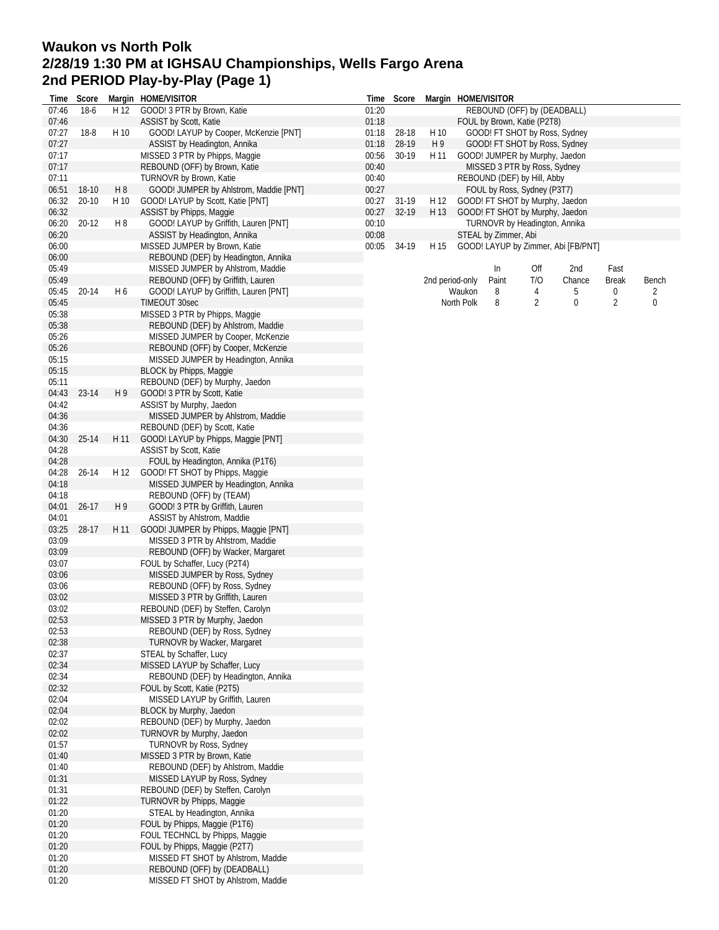## **Waukon vs North Polk 2/28/19 1:30 PM at IGHSAU Championships, Wells Fargo Arena 2nd PERIOD Play-by-Play (Page 1)**

| Time           | Score     |      | Margin HOME/VISITOR                                           | Time           | Score          |                 | Margin HOME/VISITOR |                      |                                                                    |                                     |              |       |
|----------------|-----------|------|---------------------------------------------------------------|----------------|----------------|-----------------|---------------------|----------------------|--------------------------------------------------------------------|-------------------------------------|--------------|-------|
| 07:46          | $18-6$    | H 12 | GOOD! 3 PTR by Brown, Katie                                   | 01:20          |                |                 |                     |                      | REBOUND (OFF) by (DEADBALL)                                        |                                     |              |       |
| 07:46          |           |      | ASSIST by Scott, Katie                                        | 01:18          |                |                 |                     |                      | FOUL by Brown, Katie (P2T8)                                        |                                     |              |       |
| 07:27          | $18 - 8$  | H 10 | GOOD! LAYUP by Cooper, McKenzie [PNT]                         | 01:18          | 28-18          | H 10            |                     |                      | GOOD! FT SHOT by Ross, Sydney                                      |                                     |              |       |
| 07:27          |           |      | ASSIST by Headington, Annika                                  | 01:18          | 28-19          | H 9             |                     |                      | GOOD! FT SHOT by Ross, Sydney                                      |                                     |              |       |
| 07:17          |           |      | MISSED 3 PTR by Phipps, Maggie                                | 00:56          | $30-19$        | H 11            |                     |                      | GOOD! JUMPER by Murphy, Jaedon                                     |                                     |              |       |
| 07:17          |           |      | REBOUND (OFF) by Brown, Katie                                 | 00:40          |                |                 |                     |                      | MISSED 3 PTR by Ross, Sydney                                       |                                     |              |       |
| 07:11          |           |      | TURNOVR by Brown, Katie                                       | 00:40          |                |                 |                     |                      | REBOUND (DEF) by Hill, Abby                                        |                                     |              |       |
| 06:51          | 18-10     | H 8  | GOOD! JUMPER by Ahlstrom, Maddie [PNT]                        | 00:27          |                |                 |                     |                      | FOUL by Ross, Sydney (P3T7)                                        |                                     |              |       |
| 06:32<br>06:32 | $20 - 10$ | H 10 | GOOD! LAYUP by Scott, Katie [PNT]<br>ASSIST by Phipps, Maggie | 00:27<br>00:27 | 31-19<br>32-19 | H 12<br>H 13    |                     |                      | GOOD! FT SHOT by Murphy, Jaedon<br>GOOD! FT SHOT by Murphy, Jaedon |                                     |              |       |
| 06:20          | 20-12     | H 8  | GOOD! LAYUP by Griffith, Lauren [PNT]                         | 00:10          |                |                 |                     |                      | TURNOVR by Headington, Annika                                      |                                     |              |       |
| 06:20          |           |      | ASSIST by Headington, Annika                                  | 00:08          |                |                 |                     | STEAL by Zimmer, Abi |                                                                    |                                     |              |       |
| 06:00          |           |      | MISSED JUMPER by Brown, Katie                                 | 00:05          | 34-19          | H 15            |                     |                      |                                                                    | GOOD! LAYUP by Zimmer, Abi [FB/PNT] |              |       |
| 06:00          |           |      | REBOUND (DEF) by Headington, Annika                           |                |                |                 |                     |                      |                                                                    |                                     |              |       |
| 05:49          |           |      | MISSED JUMPER by Ahlstrom, Maddie                             |                |                |                 |                     | In                   | Off                                                                | 2nd                                 | Fast         |       |
| 05:49          |           |      | REBOUND (OFF) by Griffith, Lauren                             |                |                | 2nd period-only |                     | Paint                | T/O                                                                | Chance                              | <b>Break</b> | Bench |
| 05:45          | 20-14     | H 6  | GOOD! LAYUP by Griffith, Lauren [PNT]                         |                |                |                 | Waukon              | 8                    | 4                                                                  | 5                                   | 0            | 2     |
| 05:45          |           |      | TIMEOUT 30sec                                                 |                |                |                 | North Polk          | 8                    | 2                                                                  | 0                                   | 2            | 0     |
| 05:38          |           |      | MISSED 3 PTR by Phipps, Maggie                                |                |                |                 |                     |                      |                                                                    |                                     |              |       |
| 05:38          |           |      | REBOUND (DEF) by Ahlstrom, Maddie                             |                |                |                 |                     |                      |                                                                    |                                     |              |       |
| 05:26          |           |      | MISSED JUMPER by Cooper, McKenzie                             |                |                |                 |                     |                      |                                                                    |                                     |              |       |
| 05:26          |           |      | REBOUND (OFF) by Cooper, McKenzie                             |                |                |                 |                     |                      |                                                                    |                                     |              |       |
| 05:15          |           |      | MISSED JUMPER by Headington, Annika                           |                |                |                 |                     |                      |                                                                    |                                     |              |       |
| 05:15          |           |      | BLOCK by Phipps, Maggie                                       |                |                |                 |                     |                      |                                                                    |                                     |              |       |
| 05:11          |           |      | REBOUND (DEF) by Murphy, Jaedon                               |                |                |                 |                     |                      |                                                                    |                                     |              |       |
| 04:43          | 23-14     | H 9  | GOOD! 3 PTR by Scott, Katie                                   |                |                |                 |                     |                      |                                                                    |                                     |              |       |
| 04:42          |           |      | ASSIST by Murphy, Jaedon                                      |                |                |                 |                     |                      |                                                                    |                                     |              |       |
| 04:36          |           |      | MISSED JUMPER by Ahlstrom, Maddie                             |                |                |                 |                     |                      |                                                                    |                                     |              |       |
| 04:36          |           |      | REBOUND (DEF) by Scott, Katie                                 |                |                |                 |                     |                      |                                                                    |                                     |              |       |
| 04:30          | 25-14     | H 11 | GOOD! LAYUP by Phipps, Maggie [PNT]                           |                |                |                 |                     |                      |                                                                    |                                     |              |       |
| 04:28          |           |      | ASSIST by Scott, Katie                                        |                |                |                 |                     |                      |                                                                    |                                     |              |       |
| 04:28          |           |      | FOUL by Headington, Annika (P1T6)                             |                |                |                 |                     |                      |                                                                    |                                     |              |       |
| 04:28          | 26-14     | H 12 | GOOD! FT SHOT by Phipps, Maggie                               |                |                |                 |                     |                      |                                                                    |                                     |              |       |
| 04:18          |           |      | MISSED JUMPER by Headington, Annika                           |                |                |                 |                     |                      |                                                                    |                                     |              |       |
| 04:18          |           |      | REBOUND (OFF) by (TEAM)                                       |                |                |                 |                     |                      |                                                                    |                                     |              |       |
| 04:01          | $26 - 17$ | H9   | GOOD! 3 PTR by Griffith, Lauren                               |                |                |                 |                     |                      |                                                                    |                                     |              |       |
| 04:01          |           |      | ASSIST by Ahlstrom, Maddie                                    |                |                |                 |                     |                      |                                                                    |                                     |              |       |
| 03:25          | 28-17     | H 11 | GOOD! JUMPER by Phipps, Maggie [PNT]                          |                |                |                 |                     |                      |                                                                    |                                     |              |       |
| 03:09          |           |      | MISSED 3 PTR by Ahlstrom, Maddie                              |                |                |                 |                     |                      |                                                                    |                                     |              |       |
| 03:09          |           |      | REBOUND (OFF) by Wacker, Margaret                             |                |                |                 |                     |                      |                                                                    |                                     |              |       |
| 03:07          |           |      | FOUL by Schaffer, Lucy (P2T4)                                 |                |                |                 |                     |                      |                                                                    |                                     |              |       |
| 03:06          |           |      | MISSED JUMPER by Ross, Sydney                                 |                |                |                 |                     |                      |                                                                    |                                     |              |       |
| 03:06          |           |      | REBOUND (OFF) by Ross, Sydney                                 |                |                |                 |                     |                      |                                                                    |                                     |              |       |
| 03:02          |           |      | MISSED 3 PTR by Griffith, Lauren                              |                |                |                 |                     |                      |                                                                    |                                     |              |       |
| 03:02          |           |      | REBOUND (DEF) by Steffen, Carolyn                             |                |                |                 |                     |                      |                                                                    |                                     |              |       |
| 02:53          |           |      | MISSED 3 PTR by Murphy, Jaedon                                |                |                |                 |                     |                      |                                                                    |                                     |              |       |
| 02:53          |           |      | REBOUND (DEF) by Ross, Sydney                                 |                |                |                 |                     |                      |                                                                    |                                     |              |       |
| 02:38          |           |      | <b>TURNOVR by Wacker, Margaret</b>                            |                |                |                 |                     |                      |                                                                    |                                     |              |       |
| 02:37          |           |      | STEAL by Schaffer, Lucy                                       |                |                |                 |                     |                      |                                                                    |                                     |              |       |
| 02:34          |           |      | MISSED LAYUP by Schaffer, Lucy                                |                |                |                 |                     |                      |                                                                    |                                     |              |       |
| 02:34          |           |      | REBOUND (DEF) by Headington, Annika                           |                |                |                 |                     |                      |                                                                    |                                     |              |       |
| 02:32          |           |      | FOUL by Scott, Katie (P2T5)                                   |                |                |                 |                     |                      |                                                                    |                                     |              |       |
| 02:04          |           |      | MISSED LAYUP by Griffith, Lauren                              |                |                |                 |                     |                      |                                                                    |                                     |              |       |
| 02:04          |           |      | BLOCK by Murphy, Jaedon                                       |                |                |                 |                     |                      |                                                                    |                                     |              |       |
| 02:02          |           |      | REBOUND (DEF) by Murphy, Jaedon                               |                |                |                 |                     |                      |                                                                    |                                     |              |       |
| 02:02          |           |      | TURNOVR by Murphy, Jaedon                                     |                |                |                 |                     |                      |                                                                    |                                     |              |       |
| 01:57          |           |      | TURNOVR by Ross, Sydney                                       |                |                |                 |                     |                      |                                                                    |                                     |              |       |
| 01:40          |           |      | MISSED 3 PTR by Brown, Katie                                  |                |                |                 |                     |                      |                                                                    |                                     |              |       |
| 01:40          |           |      | REBOUND (DEF) by Ahlstrom, Maddie                             |                |                |                 |                     |                      |                                                                    |                                     |              |       |
| 01:31          |           |      | MISSED LAYUP by Ross, Sydney                                  |                |                |                 |                     |                      |                                                                    |                                     |              |       |
| 01:31          |           |      | REBOUND (DEF) by Steffen, Carolyn                             |                |                |                 |                     |                      |                                                                    |                                     |              |       |
| 01:22          |           |      | TURNOVR by Phipps, Maggie                                     |                |                |                 |                     |                      |                                                                    |                                     |              |       |
| 01:20          |           |      | STEAL by Headington, Annika                                   |                |                |                 |                     |                      |                                                                    |                                     |              |       |
| 01:20          |           |      | FOUL by Phipps, Maggie (P1T6)                                 |                |                |                 |                     |                      |                                                                    |                                     |              |       |
| 01:20          |           |      | FOUL TECHNCL by Phipps, Maggie                                |                |                |                 |                     |                      |                                                                    |                                     |              |       |
| 01:20          |           |      | FOUL by Phipps, Maggie (P2T7)                                 |                |                |                 |                     |                      |                                                                    |                                     |              |       |
| 01:20          |           |      | MISSED FT SHOT by Ahlstrom, Maddie                            |                |                |                 |                     |                      |                                                                    |                                     |              |       |
| 01:20          |           |      | REBOUND (OFF) by (DEADBALL)                                   |                |                |                 |                     |                      |                                                                    |                                     |              |       |
| 01:20          |           |      | MISSED FT SHOT by Ahlstrom, Maddie                            |                |                |                 |                     |                      |                                                                    |                                     |              |       |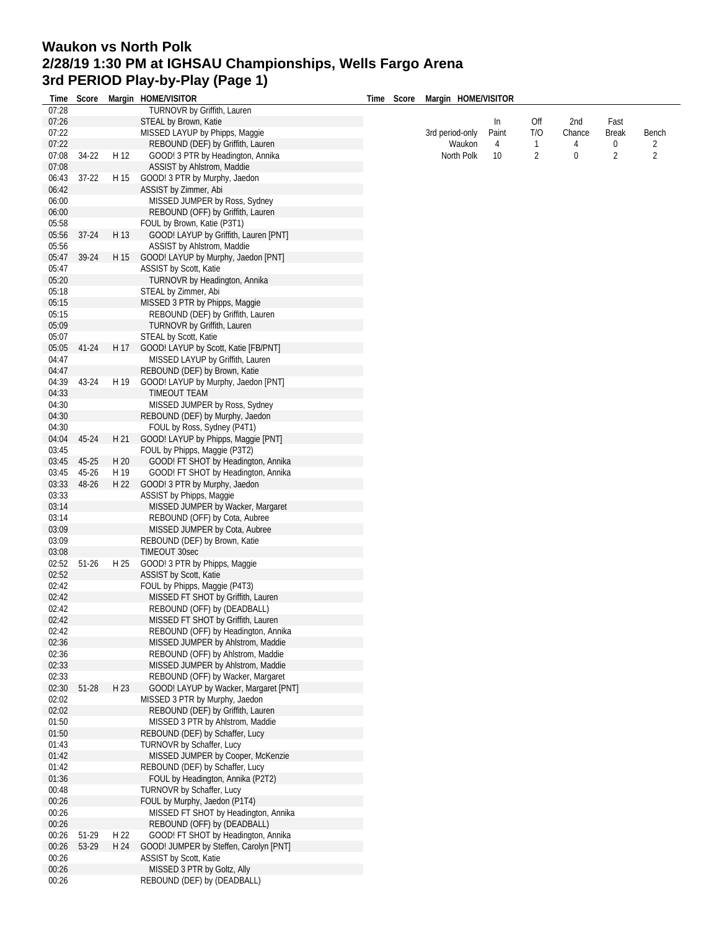## **Waukon vs North Polk 2/28/19 1:30 PM at IGHSAU Championships, Wells Fargo Arena 3rd PERIOD Play-by-Play (Page 1)**

| Time           | Score   |      | Margin HOME/VISITOR                                                    | Time | Score | Margin HOME/VISITOR |                 |                |        |                |                |  |
|----------------|---------|------|------------------------------------------------------------------------|------|-------|---------------------|-----------------|----------------|--------|----------------|----------------|--|
| 07:28          |         |      | TURNOVR by Griffith, Lauren                                            |      |       |                     |                 |                |        |                |                |  |
| 07:26          |         |      | STEAL by Brown, Katie                                                  |      |       |                     | In              | Off            | 2nd    | Fast           |                |  |
| 07:22          |         |      | MISSED LAYUP by Phipps, Maggie                                         |      |       | 3rd period-only     | Paint           | T/O            | Chance | <b>Break</b>   | Bench          |  |
| 07:22          |         |      | REBOUND (DEF) by Griffith, Lauren                                      |      |       | Waukon              | 4               | $\mathbf{1}$   | 4      | 0              | $\overline{2}$ |  |
| 07:08          | 34-22   | H 12 | GOOD! 3 PTR by Headington, Annika                                      |      |       | North Polk          | 10 <sup>°</sup> | $\overline{2}$ | 0      | $\overline{2}$ | $\overline{2}$ |  |
| 07:08          |         |      | ASSIST by Ahlstrom, Maddie                                             |      |       |                     |                 |                |        |                |                |  |
| 06:43          | $37-22$ | H 15 | GOOD! 3 PTR by Murphy, Jaedon                                          |      |       |                     |                 |                |        |                |                |  |
| 06:42          |         |      | ASSIST by Zimmer, Abi                                                  |      |       |                     |                 |                |        |                |                |  |
| 06:00          |         |      | MISSED JUMPER by Ross, Sydney                                          |      |       |                     |                 |                |        |                |                |  |
| 06:00          |         |      | REBOUND (OFF) by Griffith, Lauren                                      |      |       |                     |                 |                |        |                |                |  |
| 05:58          |         |      | FOUL by Brown, Katie (P3T1)                                            |      |       |                     |                 |                |        |                |                |  |
| 05:56          | $37-24$ | H 13 | GOOD! LAYUP by Griffith, Lauren [PNT]                                  |      |       |                     |                 |                |        |                |                |  |
| 05:56          |         |      | ASSIST by Ahlstrom, Maddie                                             |      |       |                     |                 |                |        |                |                |  |
| 05:47          | 39-24   | H 15 | GOOD! LAYUP by Murphy, Jaedon [PNT]                                    |      |       |                     |                 |                |        |                |                |  |
| 05:47          |         |      |                                                                        |      |       |                     |                 |                |        |                |                |  |
|                |         |      | ASSIST by Scott, Katie                                                 |      |       |                     |                 |                |        |                |                |  |
| 05:20          |         |      | TURNOVR by Headington, Annika                                          |      |       |                     |                 |                |        |                |                |  |
| 05:18          |         |      | STEAL by Zimmer, Abi                                                   |      |       |                     |                 |                |        |                |                |  |
| 05:15          |         |      | MISSED 3 PTR by Phipps, Maggie                                         |      |       |                     |                 |                |        |                |                |  |
| 05:15          |         |      | REBOUND (DEF) by Griffith, Lauren                                      |      |       |                     |                 |                |        |                |                |  |
| 05:09          |         |      | TURNOVR by Griffith, Lauren                                            |      |       |                     |                 |                |        |                |                |  |
| 05:07          |         |      | STEAL by Scott, Katie                                                  |      |       |                     |                 |                |        |                |                |  |
| 05:05          | 41-24   | H 17 | GOOD! LAYUP by Scott, Katie [FB/PNT]                                   |      |       |                     |                 |                |        |                |                |  |
| 04:47          |         |      | MISSED LAYUP by Griffith, Lauren                                       |      |       |                     |                 |                |        |                |                |  |
| 04:47          |         |      | REBOUND (DEF) by Brown, Katie                                          |      |       |                     |                 |                |        |                |                |  |
| 04:39          | 43-24   | H 19 | GOOD! LAYUP by Murphy, Jaedon [PNT]                                    |      |       |                     |                 |                |        |                |                |  |
| 04:33          |         |      | TIMEOUT TEAM                                                           |      |       |                     |                 |                |        |                |                |  |
| 04:30          |         |      | MISSED JUMPER by Ross, Sydney                                          |      |       |                     |                 |                |        |                |                |  |
| 04:30          |         |      | REBOUND (DEF) by Murphy, Jaedon                                        |      |       |                     |                 |                |        |                |                |  |
| 04:30          |         |      | FOUL by Ross, Sydney (P4T1)                                            |      |       |                     |                 |                |        |                |                |  |
| 04:04          | 45-24   | H 21 | GOOD! LAYUP by Phipps, Maggie [PNT]                                    |      |       |                     |                 |                |        |                |                |  |
|                |         |      |                                                                        |      |       |                     |                 |                |        |                |                |  |
| 03:45          |         |      | FOUL by Phipps, Maggie (P3T2)                                          |      |       |                     |                 |                |        |                |                |  |
| 03:45          | 45-25   | H 20 | GOOD! FT SHOT by Headington, Annika                                    |      |       |                     |                 |                |        |                |                |  |
| 03:45          | 45-26   | H 19 | GOOD! FT SHOT by Headington, Annika                                    |      |       |                     |                 |                |        |                |                |  |
| 03:33          | 48-26   | H 22 | GOOD! 3 PTR by Murphy, Jaedon                                          |      |       |                     |                 |                |        |                |                |  |
| 03:33          |         |      | ASSIST by Phipps, Maggie                                               |      |       |                     |                 |                |        |                |                |  |
| 03:14          |         |      | MISSED JUMPER by Wacker, Margaret                                      |      |       |                     |                 |                |        |                |                |  |
| 03:14          |         |      | REBOUND (OFF) by Cota, Aubree                                          |      |       |                     |                 |                |        |                |                |  |
| 03:09          |         |      | MISSED JUMPER by Cota, Aubree                                          |      |       |                     |                 |                |        |                |                |  |
| 03:09          |         |      | REBOUND (DEF) by Brown, Katie                                          |      |       |                     |                 |                |        |                |                |  |
| 03:08          |         |      | TIMEOUT 30sec                                                          |      |       |                     |                 |                |        |                |                |  |
| 02:52          | $51-26$ | H 25 | GOOD! 3 PTR by Phipps, Maggie                                          |      |       |                     |                 |                |        |                |                |  |
| 02:52          |         |      | ASSIST by Scott, Katie                                                 |      |       |                     |                 |                |        |                |                |  |
| 02:42          |         |      | FOUL by Phipps, Maggie (P4T3)                                          |      |       |                     |                 |                |        |                |                |  |
| 02:42          |         |      | MISSED FT SHOT by Griffith, Lauren                                     |      |       |                     |                 |                |        |                |                |  |
| 02:42          |         |      | REBOUND (OFF) by (DEADBALL)                                            |      |       |                     |                 |                |        |                |                |  |
| 02:42          |         |      | MISSED FT SHOT by Griffith, Lauren                                     |      |       |                     |                 |                |        |                |                |  |
| 02:42          |         |      | REBOUND (OFF) by Headington, Annika                                    |      |       |                     |                 |                |        |                |                |  |
| 02:36          |         |      | MISSED JUMPER by Ahlstrom, Maddie                                      |      |       |                     |                 |                |        |                |                |  |
|                |         |      | REBOUND (OFF) by Ahlstrom, Maddie                                      |      |       |                     |                 |                |        |                |                |  |
| 02:36          |         |      |                                                                        |      |       |                     |                 |                |        |                |                |  |
| 02:33<br>02:33 |         |      | MISSED JUMPER by Ahlstrom, Maddie<br>REBOUND (OFF) by Wacker, Margaret |      |       |                     |                 |                |        |                |                |  |
|                |         |      |                                                                        |      |       |                     |                 |                |        |                |                |  |
| 02:30          | 51-28   | H 23 | GOOD! LAYUP by Wacker, Margaret [PNT]                                  |      |       |                     |                 |                |        |                |                |  |
| 02:02          |         |      | MISSED 3 PTR by Murphy, Jaedon                                         |      |       |                     |                 |                |        |                |                |  |
| 02:02          |         |      | REBOUND (DEF) by Griffith, Lauren                                      |      |       |                     |                 |                |        |                |                |  |
| 01:50          |         |      | MISSED 3 PTR by Ahlstrom, Maddie                                       |      |       |                     |                 |                |        |                |                |  |
| 01:50          |         |      | REBOUND (DEF) by Schaffer, Lucy                                        |      |       |                     |                 |                |        |                |                |  |
| 01:43          |         |      | TURNOVR by Schaffer, Lucy                                              |      |       |                     |                 |                |        |                |                |  |
| 01:42          |         |      | MISSED JUMPER by Cooper, McKenzie                                      |      |       |                     |                 |                |        |                |                |  |
| 01:42          |         |      | REBOUND (DEF) by Schaffer, Lucy                                        |      |       |                     |                 |                |        |                |                |  |
| 01:36          |         |      | FOUL by Headington, Annika (P2T2)                                      |      |       |                     |                 |                |        |                |                |  |
| 00:48          |         |      | TURNOVR by Schaffer, Lucy                                              |      |       |                     |                 |                |        |                |                |  |
| 00:26          |         |      | FOUL by Murphy, Jaedon (P1T4)                                          |      |       |                     |                 |                |        |                |                |  |
| 00:26          |         |      | MISSED FT SHOT by Headington, Annika                                   |      |       |                     |                 |                |        |                |                |  |
| 00:26          |         |      | REBOUND (OFF) by (DEADBALL)                                            |      |       |                     |                 |                |        |                |                |  |
| 00:26          | 51-29   | H 22 | GOOD! FT SHOT by Headington, Annika                                    |      |       |                     |                 |                |        |                |                |  |
| 00:26          | 53-29   | H 24 | GOOD! JUMPER by Steffen, Carolyn [PNT]                                 |      |       |                     |                 |                |        |                |                |  |
| 00:26          |         |      | ASSIST by Scott, Katie                                                 |      |       |                     |                 |                |        |                |                |  |
| 00:26          |         |      | MISSED 3 PTR by Goltz, Ally                                            |      |       |                     |                 |                |        |                |                |  |
|                |         |      |                                                                        |      |       |                     |                 |                |        |                |                |  |
| 00:26          |         |      | REBOUND (DEF) by (DEADBALL)                                            |      |       |                     |                 |                |        |                |                |  |